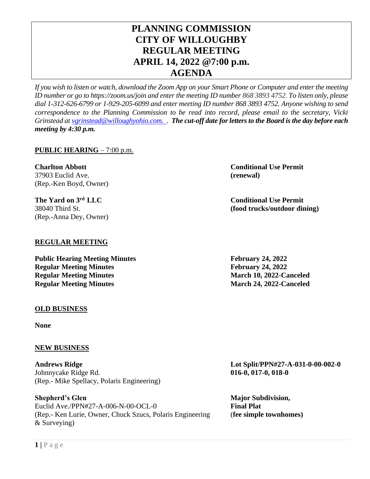# **PLANNING COMMISSION CITY OF WILLOUGHBY REGULAR MEETING APRIL 14, 2022 @7:00 p.m. AGENDA**

*If you wish to listen or watch, download the Zoom App on your Smart Phone or Computer and enter the meeting ID number or go to https://zoom.us/join and enter the meeting ID number 868 3893 4752. To listen only, please dial 1-312-626-6799 or 1-929-205-6099 and enter meeting ID number 868 3893 4752. Anyone wishing to send correspondence to the Planning Commission to be read into record, please email to the secretary, Vicki Grinstead a[t vgrinstead@willoughyohio.com.](mailto:vgrinstead@willoughyohio.com) . The cut-off date for letters to the Board is the day before each meeting by 4:30 p.m.* 

# **PUBLIC HEARING** – 7:00 p.m.

**Charlton Abbott Conditional Use Permit** 37903 Euclid Ave. **(renewal)** (Rep.-Ken Boyd, Owner)

**The Yard on 3** (Rep.-Anna Dey, Owner)

# **REGULAR MEETING**

**Public Hearing Meeting Minutes February 24, 2022 Regular Meeting Minutes February 24, 2022 Regular Meeting Minutes March 10, 2022-Canceled Regular Meeting Minutes March 24, 2022-Canceled** 

### **OLD BUSINESS**

**None**

### **NEW BUSINESS**

**Andrews Ridge Lot Split/PPN#27-A-031-0-00-002-0** Johnnycake Ridge Rd. **016-0, 017-0, 018-0** (Rep.- Mike Spellacy, Polaris Engineering)

**Shepherd's Glen Major Subdivision,** Euclid Ave./PPN#27-A-006-N-00-OCL-0 **Final Plat** (Rep.- Ken Lurie, Owner, Chuck Szucs, Polaris Engineering (**fee simple townhomes)** & Surveying)

**Conditional Use Permit** 38040 Third St. **(food trucks/outdoor dining)**